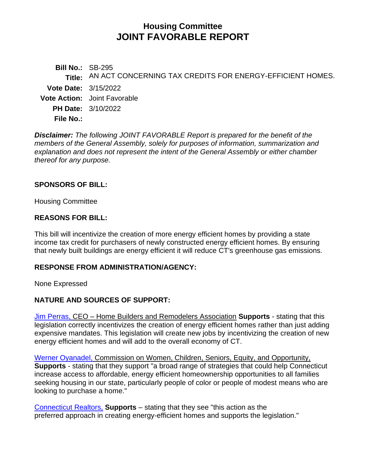# **Housing Committee JOINT FAVORABLE REPORT**

**Bill No.:** SB-295 **Title:** AN ACT CONCERNING TAX CREDITS FOR ENERGY-EFFICIENT HOMES. **Vote Date:** 3/15/2022 **Vote Action:** Joint Favorable **PH Date:** 3/10/2022 **File No.:**

*Disclaimer: The following JOINT FAVORABLE Report is prepared for the benefit of the members of the General Assembly, solely for purposes of information, summarization and explanation and does not represent the intent of the General Assembly or either chamber thereof for any purpose.*

#### **SPONSORS OF BILL:**

Housing Committee

### **REASONS FOR BILL:**

This bill will incentivize the creation of more energy efficient homes by providing a state income tax credit for purchasers of newly constructed energy efficient homes. By ensuring that newly built buildings are energy efficient it will reduce CT's greenhouse gas emissions.

#### **RESPONSE FROM ADMINISTRATION/AGENCY:**

None Expressed

## **NATURE AND SOURCES OF SUPPORT:**

[Jim Perras,](https://www.cga.ct.gov/2022/HSGdata/Tmy/2022SB-00295-R000310-Perras,%20Jim,%20CEO-HOME%20BUILDERS%20-%20REMODELERS%20ASSOCIATION-TMY.PDF) CEO – Home Builders and Remodelers Association **Supports** - stating that this legislation correctly incentivizes the creation of energy efficient homes rather than just adding expensive mandates. This legislation will create new jobs by incentivizing the creation of new energy efficient homes and will add to the overall economy of CT.

[Werner Oyanadel,](https://www.cga.ct.gov/2022/HSGdata/Tmy/2022SB-00295-R000310-Oyanadel,%20Werner-Commission%20on%20Women,%20Children,%20Seniors,%20Equity%20-%20Opportunitu-TMY.PDF) Commission on Women, Children, Seniors, Equity, and Opportunity, **Supports** - stating that they support "a broad range of strategies that could help Connecticut increase access to affordable, energy efficient homeownership opportunities to all families seeking housing in our state, particularly people of color or people of modest means who are looking to purchase a home."

[Connecticut Realtors,](https://www.cga.ct.gov/2022/HSGdata/Tmy/2022SB-00295-R000310-Connecticut%20REALTORS-TMY.PDF) **Supports** – stating that they see "this action as the preferred approach in creating energy-efficient homes and supports the legislation."